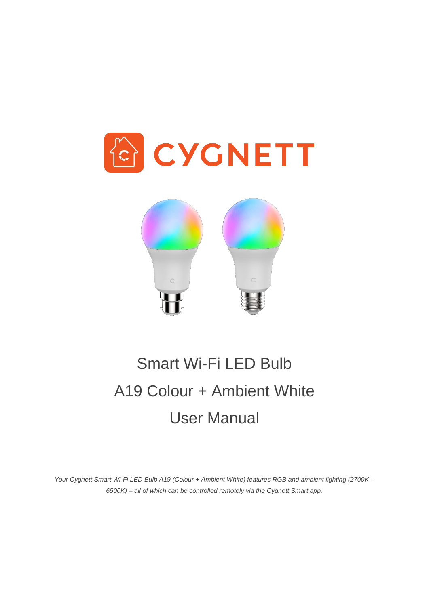



# Smart Wi-Fi LED Bulb A19 Colour + Ambient White User Manual

*Your Cygnett Smart Wi-Fi LED Bulb A19 (Colour + Ambient White) features RGB and ambient lighting (2700K – 6500K) – all of which can be controlled remotely via the Cygnett Smart app.*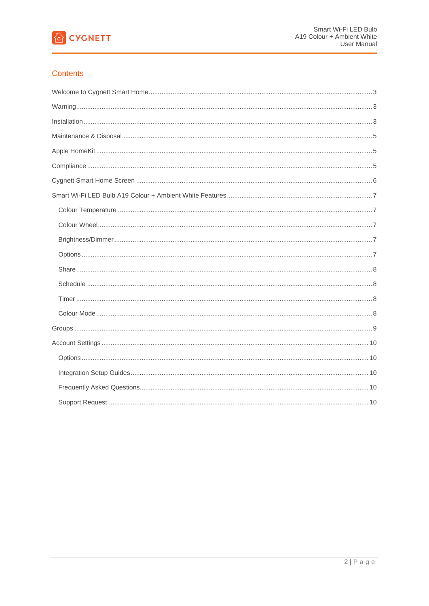

# **Contents**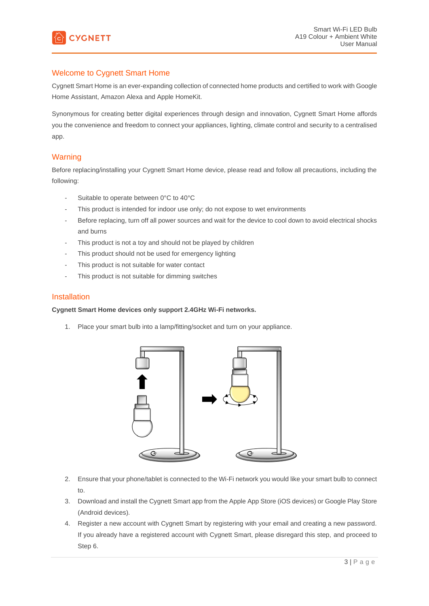

# <span id="page-2-0"></span>Welcome to Cygnett Smart Home

Cygnett Smart Home is an ever-expanding collection of connected home products and certified to work with Google Home Assistant, Amazon Alexa and Apple HomeKit.

Synonymous for creating better digital experiences through design and innovation, Cygnett Smart Home affords you the convenience and freedom to connect your appliances, lighting, climate control and security to a centralised app.

# <span id="page-2-1"></span>**Warning**

Before replacing/installing your Cygnett Smart Home device, please read and follow all precautions, including the following:

- Suitable to operate between 0°C to 40°C
- This product is intended for indoor use only; do not expose to wet environments
- Before replacing, turn off all power sources and wait for the device to cool down to avoid electrical shocks and burns
- This product is not a toy and should not be played by children
- This product should not be used for emergency lighting
- This product is not suitable for water contact
- This product is not suitable for dimming switches

#### <span id="page-2-2"></span>Installation

#### **Cygnett Smart Home devices only support 2.4GHz Wi-Fi networks.**

1. Place your smart bulb into a lamp/fitting/socket and turn on your appliance.



- 2. Ensure that your phone/tablet is connected to the Wi-Fi network you would like your smart bulb to connect to.
- 3. Download and install the Cygnett Smart app from the Apple App Store (iOS devices) or Google Play Store (Android devices).
- 4. Register a new account with Cygnett Smart by registering with your email and creating a new password. If you already have a registered account with Cygnett Smart, please disregard this step, and proceed to Step 6.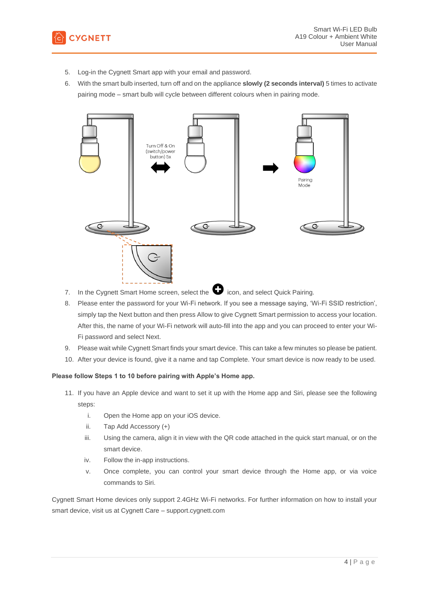

- 5. Log-in the Cygnett Smart app with your email and password.
- 6. With the smart bulb inserted, turn off and on the appliance **slowly (2 seconds interval)** 5 times to activate pairing mode – smart bulb will cycle between different colours when in pairing mode.



- 7. In the Cygnett Smart Home screen, select the  $\bullet$  icon, and select Quick Pairing.
- 8. Please enter the password for your Wi-Fi network. If you see a message saying, 'Wi-Fi SSID restriction', simply tap the Next button and then press Allow to give Cygnett Smart permission to access your location. After this, the name of your Wi-Fi network will auto-fill into the app and you can proceed to enter your Wi-Fi password and select Next.
- 9. Please wait while Cygnett Smart finds your smart device. This can take a few minutes so please be patient.
- 10. After your device is found, give it a name and tap Complete. Your smart device is now ready to be used.

#### **Please follow Steps 1 to 10 before pairing with Apple's Home app.**

- 11. If you have an Apple device and want to set it up with the Home app and Siri, please see the following steps:
	- i. Open the Home app on your iOS device.
	- ii. Tap Add Accessory (+)
	- iii. Using the camera, align it in view with the QR code attached in the quick start manual, or on the smart device.
	- iv. Follow the in-app instructions.
	- v. Once complete, you can control your smart device through the Home app, or via voice commands to Siri.

Cygnett Smart Home devices only support 2.4GHz Wi-Fi networks. For further information on how to install your smart device, visit us at Cygnett Care – support.cygnett.com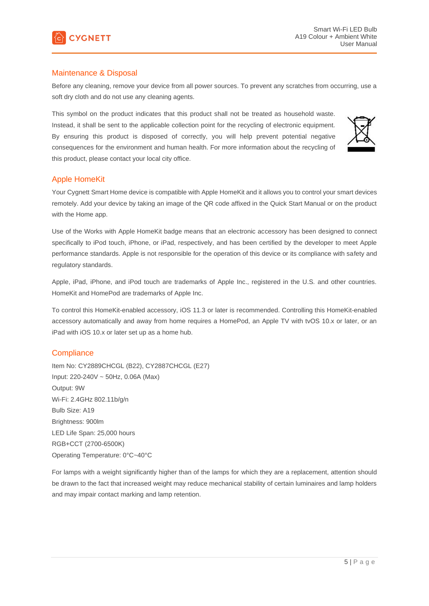

## <span id="page-4-0"></span>Maintenance & Disposal

Before any cleaning, remove your device from all power sources. To prevent any scratches from occurring, use a soft dry cloth and do not use any cleaning agents.

This symbol on the product indicates that this product shall not be treated as household waste. Instead, it shall be sent to the applicable collection point for the recycling of electronic equipment. By ensuring this product is disposed of correctly, you will help prevent potential negative consequences for the environment and human health. For more information about the recycling of this product, please contact your local city office.



## <span id="page-4-1"></span>Apple HomeKit

Your Cygnett Smart Home device is compatible with Apple HomeKit and it allows you to control your smart devices remotely. Add your device by taking an image of the QR code affixed in the Quick Start Manual or on the product with the Home app.

Use of the Works with Apple HomeKit badge means that an electronic accessory has been designed to connect specifically to iPod touch, iPhone, or iPad, respectively, and has been certified by the developer to meet Apple performance standards. Apple is not responsible for the operation of this device or its compliance with safety and regulatory standards.

Apple, iPad, iPhone, and iPod touch are trademarks of Apple Inc., registered in the U.S. and other countries. HomeKit and HomePod are trademarks of Apple Inc.

To control this HomeKit-enabled accessory, iOS 11.3 or later is recommended. Controlling this HomeKit-enabled accessory automatically and away from home requires a HomePod, an Apple TV with tvOS 10.x or later, or an iPad with iOS 10.x or later set up as a home hub.

#### <span id="page-4-2"></span>**Compliance**

Item No: CY2889CHCGL (B22), CY2887CHCGL (E27) Input: 220-240V ~ 50Hz, 0.06A (Max) Output: 9W Wi-Fi: 2.4GHz 802.11b/g/n Bulb Size: A19 Brightness: 900lm LED Life Span: 25,000 hours RGB+CCT (2700-6500K) Operating Temperature: 0°C~40°C

For lamps with a weight significantly higher than of the lamps for which they are a replacement, attention should be drawn to the fact that increased weight may reduce mechanical stability of certain luminaires and lamp holders and may impair contact marking and lamp retention.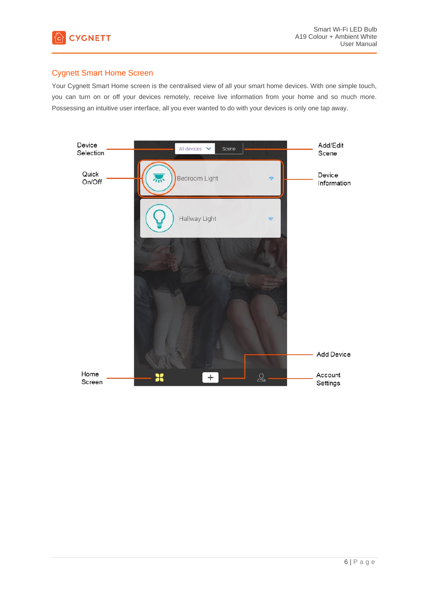

# <span id="page-5-0"></span>Cygnett Smart Home Screen

Your Cygnett Smart Home screen is the centralised view of all your smart home devices. With one simple touch, you can turn on or off your devices remotely, receive live information from your home and so much more. Possessing an intuitive user interface, all you ever wanted to do with your devices is only one tap away.

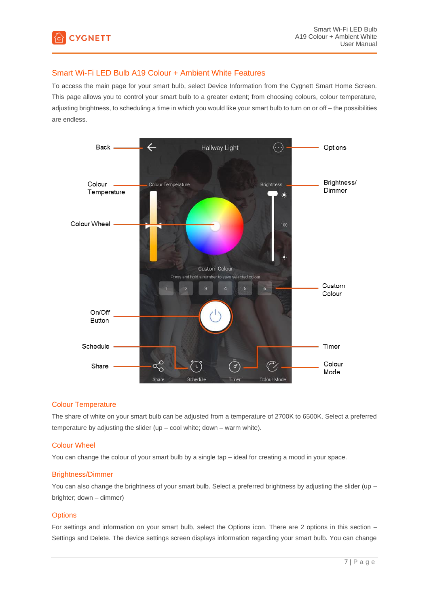

# <span id="page-6-0"></span>Smart Wi-Fi LED Bulb A19 Colour + Ambient White Features

To access the main page for your smart bulb, select Device Information from the Cygnett Smart Home Screen. This page allows you to control your smart bulb to a greater extent; from choosing colours, colour temperature, adjusting brightness, to scheduling a time in which you would like your smart bulb to turn on or off – the possibilities are endless.



#### <span id="page-6-1"></span>Colour Temperature

The share of white on your smart bulb can be adjusted from a temperature of 2700K to 6500K. Select a preferred temperature by adjusting the slider (up – cool white; down – warm white).

#### <span id="page-6-2"></span>Colour Wheel

You can change the colour of your smart bulb by a single tap – ideal for creating a mood in your space.

#### <span id="page-6-3"></span>Brightness/Dimmer

You can also change the brightness of your smart bulb. Select a preferred brightness by adjusting the slider (up – brighter; down – dimmer)

#### <span id="page-6-4"></span>**Options**

For settings and information on your smart bulb, select the Options icon. There are 2 options in this section – Settings and Delete. The device settings screen displays information regarding your smart bulb. You can change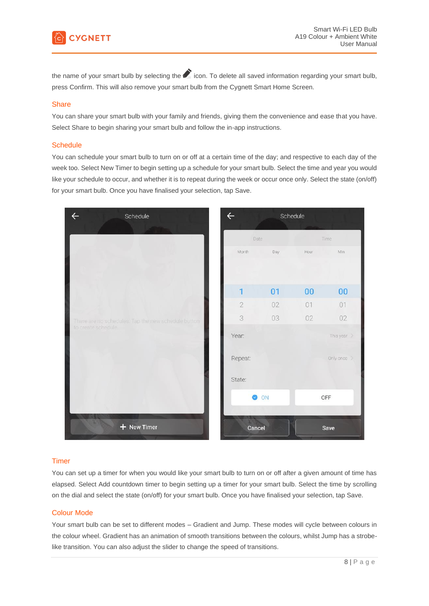

the name of your smart bulb by selecting the icon. To delete all saved information regarding your smart bulb, press Confirm. This will also remove your smart bulb from the Cygnett Smart Home Screen.

#### <span id="page-7-0"></span>**Share**

You can share your smart bulb with your family and friends, giving them the convenience and ease that you have. Select Share to begin sharing your smart bulb and follow the in-app instructions.

#### <span id="page-7-1"></span>**Schedule**

You can schedule your smart bulb to turn on or off at a certain time of the day; and respective to each day of the week too. Select New Timer to begin setting up a schedule for your smart bulb. Select the time and year you would like your schedule to occur, and whether it is to repeat during the week or occur once only. Select the state (on/off) for your smart bulb. Once you have finalised your selection, tap Save.



#### <span id="page-7-2"></span>Timer

You can set up a timer for when you would like your smart bulb to turn on or off after a given amount of time has elapsed. Select Add countdown timer to begin setting up a timer for your smart bulb. Select the time by scrolling on the dial and select the state (on/off) for your smart bulb. Once you have finalised your selection, tap Save.

#### <span id="page-7-3"></span>Colour Mode

Your smart bulb can be set to different modes – Gradient and Jump. These modes will cycle between colours in the colour wheel. Gradient has an animation of smooth transitions between the colours, whilst Jump has a strobelike transition. You can also adjust the slider to change the speed of transitions.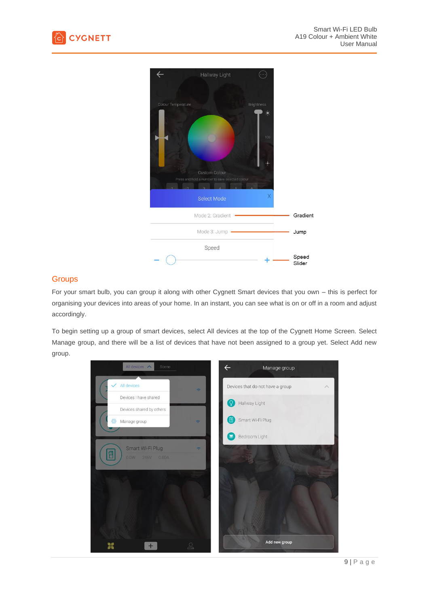



# <span id="page-8-0"></span>**Groups**

For your smart bulb, you can group it along with other Cygnett Smart devices that you own – this is perfect for organising your devices into areas of your home. In an instant, you can see what is on or off in a room and adjust accordingly.

To begin setting up a group of smart devices, select All devices at the top of the Cygnett Home Screen. Select Manage group, and there will be a list of devices that have not been assigned to a group yet. Select Add new group.

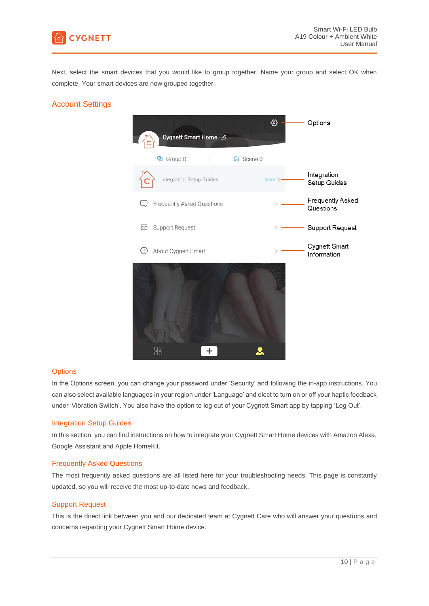

Next, select the smart devices that you would like to group together. Name your group and select OK when complete. Your smart devices are now grouped together.

# <span id="page-9-0"></span>Account Settings



#### <span id="page-9-1"></span>**Options**

In the Options screen, you can change your password under 'Security' and following the in-app instructions. You can also select available languages in your region under 'Language' and elect to turn on or off your haptic feedback under 'Vibration Switch'. You also have the option to log out of your Cygnett Smart app by tapping 'Log Out'.

#### <span id="page-9-2"></span>Integration Setup Guides

In this section, you can find instructions on how to integrate your Cygnett Smart Home devices with Amazon Alexa, Google Assistant and Apple HomeKit.

#### <span id="page-9-3"></span>Frequently Asked Questions

The most frequently asked questions are all listed here for your troubleshooting needs. This page is constantly updated, so you will receive the most up-to-date news and feedback.

#### <span id="page-9-4"></span>Support Request

This is the direct link between you and our dedicated team at Cygnett Care who will answer your questions and concerns regarding your Cygnett Smart Home device.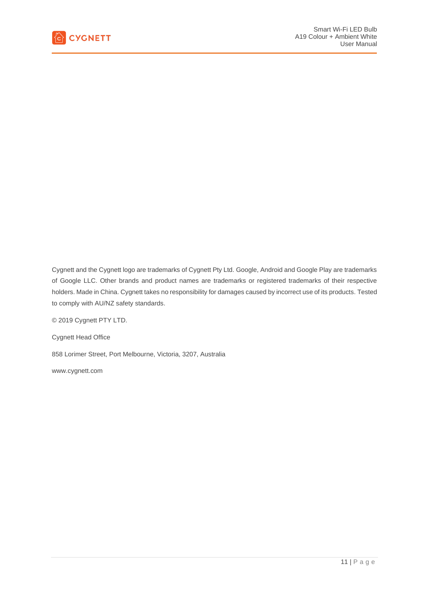

Cygnett and the Cygnett logo are trademarks of Cygnett Pty Ltd. Google, Android and Google Play are trademarks of Google LLC. Other brands and product names are trademarks or registered trademarks of their respective holders. Made in China. Cygnett takes no responsibility for damages caused by incorrect use of its products. Tested to comply with AU/NZ safety standards.

© 2019 Cygnett PTY LTD.

Cygnett Head Office

858 Lorimer Street, Port Melbourne, Victoria, 3207, Australia

[www.cygnett.com](http://www.cygnett.com/)